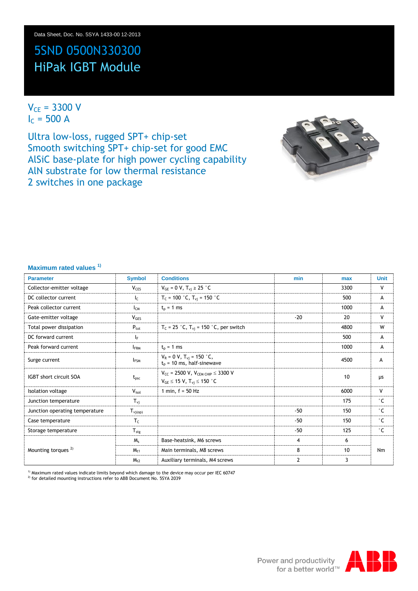# 5SND 0500N330300 HiPak IGBT Module

 $V_{CE} = 3300 V$  $I_c = 500 A$ 

Ultra low-loss, rugged SPT+ chip-set Smooth switching SPT+ chip-set for good EMC AlSiC base-plate for high power cycling capability AlN substrate for low thermal resistance 2 switches in one package



#### **Maximum rated values 1)**

| <b>Parameter</b>               | <b>Symbol</b>     | <b>Conditions</b>                                                                        | min   | max  | <b>Unit</b>  |
|--------------------------------|-------------------|------------------------------------------------------------------------------------------|-------|------|--------------|
| Collector-emitter voltage      | V <sub>CES</sub>  | $V_{GE} = 0 V, T_{vi} \ge 25 °C$                                                         |       | 3300 | V            |
| DC collector current           | $I_{\mathsf{C}}$  | $T_c = 100 °C$ , $T_{vi} = 150 °C$                                                       |       | 500  | А            |
| Peak collector current         | $I_{CM}$          | $t_{p}$ = 1 ms                                                                           |       | 1000 | А            |
| Gate-emitter voltage           | V <sub>GES</sub>  |                                                                                          | $-20$ | 20   | V            |
| Total power dissipation        | $P_{\text{tot}}$  | $T_c$ = 25 °C, $T_{vj}$ = 150 °C, per switch                                             |       | 4800 | W            |
| DC forward current             | lF.               |                                                                                          |       | 500  | А            |
| Peak forward current           | <b>IFRM</b>       | $t_{p}$ = 1 ms                                                                           |       | 1000 | A            |
| Surge current                  | <b>IFSM</b>       | $V_R = 0 V$ , $T_{vi} = 150 °C$ ,<br>$t_p$ = 10 ms, half-sinewave                        |       | 4500 | A            |
| IGBT short circuit SOA         | $t_{\text{psc}}$  | $V_{CC}$ = 2500 V, $V_{CEM CHIP} \leq 3300$ V<br>$V_{GE} \le 15 V$ , $T_{vi} \le 150 °C$ |       | 10   | μs           |
| Isolation voltage              | $V_{\text{isol}}$ | 1 min, $f = 50$ Hz                                                                       |       | 6000 | v            |
| Junction temperature           | $T_{\rm{vi}}$     |                                                                                          |       | 175  | $^{\circ}$ C |
| Junction operating temperature | $T_{\rm vj(op)}$  |                                                                                          | $-50$ | 150  | $^{\circ}$ C |
| Case temperature               | $T_c$             |                                                                                          | $-50$ | 150  | $^{\circ}$ C |
| Storage temperature            | $T_{\rm stg}$     |                                                                                          | $-50$ | 125  | $^{\circ}$ C |
|                                | $M_s$             | Base-heatsink, M6 screws                                                                 | 4     | 6    |              |
| Mounting torques <sup>2)</sup> | $M_{t1}$          | Main terminals, M8 screws                                                                | 8     | 10   | Nm           |
|                                | $M_{t2}$          | Auxiliary terminals, M4 screws                                                           | 2     | 3    |              |

<sup>1)</sup> Maximum rated values indicate limits beyond which damage to the device may occur per IEC 60747<br><sup>2)</sup> for detailed mounting instructions refer to ABB Document No. 5SYA 2039

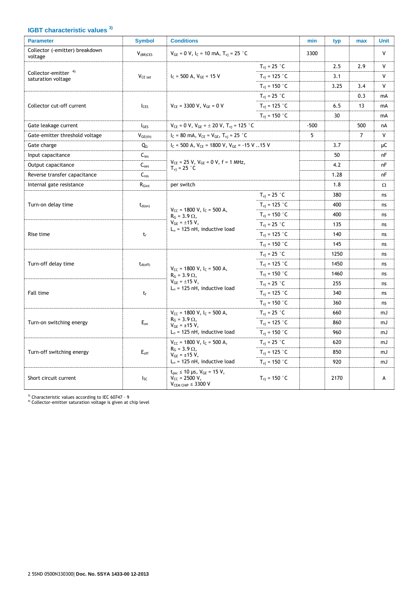## **IGBT characteristic values 3)**

| <b>Parameter</b>                                      | <b>Symbol</b>       | <b>Conditions</b>                                                                                                                    |                                 | min    | typ  | max            | <b>Unit</b> |
|-------------------------------------------------------|---------------------|--------------------------------------------------------------------------------------------------------------------------------------|---------------------------------|--------|------|----------------|-------------|
| Collector (-emitter) breakdown<br>voltage             | $V_{(BR)CES}$       | $V_{GE}$ = 0 V, I <sub>C</sub> = 10 mA, T <sub>vi</sub> = 25 °C                                                                      |                                 | 3300   |      |                | ٧           |
| Collector-emitter <sup>4)</sup><br>saturation voltage |                     |                                                                                                                                      | $T_{vi}$ = 25 °C                |        | 2.5  | 2.9            | V           |
|                                                       | V <sub>CE</sub> sat | $I_c = 500$ A, $V_{GE} = 15$ V                                                                                                       | $T_{vi}$ = 125 °C               |        | 3.1  |                | V           |
|                                                       |                     |                                                                                                                                      | $T_{vi}$ = 150 $^{\circ}$ C     |        | 3.25 | 3.4            | V           |
|                                                       |                     | $V_{CE}$ = 3300 V, $V_{GE}$ = 0 V<br><b>I</b> CES                                                                                    | $T_{\rm vj}$ = 25 °C            |        |      | 0.3            | mA          |
| Collector cut-off current                             |                     |                                                                                                                                      | $T_{\rm vj}$ = 125 °C           |        | 6.5  | 13             | mA          |
|                                                       |                     |                                                                                                                                      | $T_{\rm vi}$ = 150 °C           |        | 30   |                | mA          |
| Gate leakage current                                  | $I_{\text{GES}}$    | $V_{CE} = 0 V$ , $V_{GE} = \pm 20 V$ , $T_{vi} = 125 °C$                                                                             |                                 | $-500$ |      | 500            | nA          |
| Gate-emitter threshold voltage                        | $V_{GE(th)}$        | $I_C = 80$ mA, $V_{CE} = V_{GE}$ , $T_{vi} = 25$ °C                                                                                  |                                 | 5      |      | $\overline{7}$ | V           |
| Gate charge                                           | QG                  | $I_c$ = 500 A, $V_{CE}$ = 1800 V, $V_{GE}$ = -15 V 15 V                                                                              |                                 |        | 3.7  |                | μC          |
| Input capacitance                                     | $C_{\text{ies}}$    |                                                                                                                                      |                                 |        | 50   |                | nF          |
| Output capacitance                                    | $C_{\rm{oes}}$      | $V_{CE}$ = 25 V, $V_{GE}$ = 0 V, f = 1 MHz,<br>$T_{\rm vi}$ = 25 °C                                                                  |                                 |        | 4.2  |                | nF          |
| Reverse transfer capacitance                          | $C_{res}$           |                                                                                                                                      |                                 |        | 1.28 |                | nF          |
| Internal gate resistance                              | $R_{Gint}$          | per switch                                                                                                                           |                                 |        | 1.8  |                | Ω           |
| Turn-on delay time                                    |                     | $V_{CC}$ = 1800 V, I <sub>C</sub> = 500 A,<br>$R_G = 3.9 \Omega$ ,                                                                   | $T_{\rm vi}$ = 25 $\degree$ C   |        | 380  |                | ns          |
|                                                       | $t_{d(on)}$         |                                                                                                                                      | $T_{vi}$ = 125 °C               |        | 400  |                | ns          |
|                                                       |                     |                                                                                                                                      | $T_{\rm vi}$ = 150 $^{\circ}$ C |        | 400  |                | ns          |
| Rise time                                             |                     | $V_{GE} = \pm 15 V,$<br>$T_{\rm vj}$ = 25 °C                                                                                         |                                 |        | 135  |                | ns          |
|                                                       | $t_r$               | $L_{\sigma}$ = 125 nH, inductive load                                                                                                | $T_{\rm vi}$ = 125 °C           |        | 140  |                | ns          |
|                                                       |                     |                                                                                                                                      | $T_{\rm vi}$ = 150 °C           |        | 145  |                | ns          |
|                                                       |                     |                                                                                                                                      | $T_{\rm{vi}}$ = 25 °C           |        | 1250 |                | ns          |
| Turn-off delay time                                   | $t_{d(off)}$        |                                                                                                                                      | $T_{\rm vi}$ = 125 °C           |        | 1450 |                | ns          |
|                                                       |                     | $V_{CC}$ = 1800 V, I <sub>C</sub> = 500 A,<br>$R_G = 3.9 \Omega$ ,                                                                   | $T_{\rm vi}$ = 150 $\degree$ C  |        | 1460 |                | ns          |
|                                                       |                     | $V_{GE} = \pm 15 V,$                                                                                                                 | $T_{vi}$ = 25 $°C$              |        | 255  |                | ns          |
| Fall time                                             | $t_f$               | $L_{\sigma}$ = 125 nH, inductive load                                                                                                | $T_{\rm vj} = 125$ °C           |        | 340  |                | ns          |
|                                                       |                     |                                                                                                                                      | $T_{\rm vj} = 150$ °C           |        | 360  |                | ns          |
|                                                       |                     | $V_{CC}$ = 1800 V, I <sub>C</sub> = 500 A,                                                                                           | $T_{\rm vj}$ = 25 °C            |        | 660  |                | mJ          |
| Turn-on switching energy                              | $E_{on}$            | $R_G = 3.9 \Omega$ ,<br>$V_{GE} = \pm 15 V$ ,<br>$L_{\sigma}$ = 125 nH, inductive load                                               | $T_{\rm{vi}}$ = 125 °C          |        | 860  |                | mJ          |
|                                                       |                     |                                                                                                                                      | $T_{\rm vi}$ = 150 $\degree$ C  |        | 960  |                | mJ          |
| Turn-off switching energy                             |                     | $V_{CC}$ = 1800 V, I <sub>C</sub> = 500 A,<br>$R_G = 3.9 \Omega$ ,<br>$V_{GE} = \pm 15 V$ ,<br>$L_{\sigma}$ = 125 nH, inductive load | $T_{\rm{vi}}$ = 25 $^{\circ}$ C |        | 620  |                | mJ          |
|                                                       | $E_{\text{off}}$    |                                                                                                                                      | $T_{\rm vj}$ = 125 °C           |        | 850  |                | mJ          |
|                                                       |                     |                                                                                                                                      | $T_{\rm vi}$ = 150 $\degree$ C  |        | 920  |                | mJ          |
| Short circuit current                                 | <sub>Isc</sub>      | $t_{psc} \le 10 \mu s$ , $V_{GE} = 15 V$ ,<br>$V_{CC} = 2500 V,$<br>$VCEM CHIP \leq 3300 V$                                          | $T_{\rm vi}$ = 150 °C           |        | 2170 |                | А           |

<sup>3)</sup> Characteristic values according to IEC 60747 - 9<br><sup>4)</sup> Collector-emitter saturation voltage is given at chip level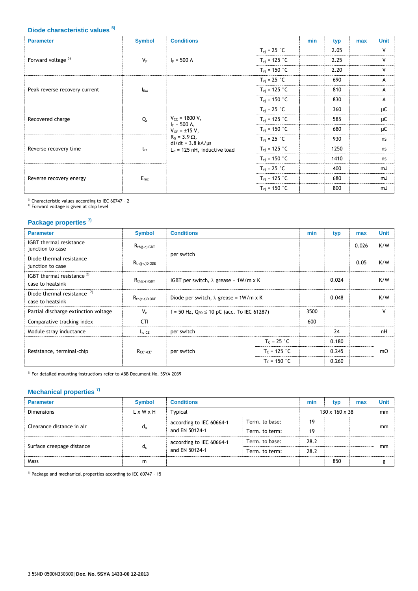## **Diode characteristic values 5)**

| <b>Parameter</b>              | <b>Symbol</b>   | <b>Conditions</b>                                                                                                                                            |                                  | min | typ  | max | <b>Unit</b>  |
|-------------------------------|-----------------|--------------------------------------------------------------------------------------------------------------------------------------------------------------|----------------------------------|-----|------|-----|--------------|
| Forward voltage <sup>6)</sup> |                 | $I_F = 500 A$                                                                                                                                                | $T_{\rm vj}$ = 25 $^{\circ}$ C   |     | 2.05 |     | $\mathsf{V}$ |
|                               | $V_F$           |                                                                                                                                                              | $T_{\rm vj} = 125$ °C            |     | 2.25 |     | $\mathsf{V}$ |
|                               |                 |                                                                                                                                                              | $T_{\rm{vi}}$ = 150 °C           |     | 2.20 |     | $\mathsf{V}$ |
|                               |                 |                                                                                                                                                              | $T_{\rm vj}$ = 25 °C             |     | 690  |     | A            |
| Peak reverse recovery current | I <sub>RM</sub> | $V_{CC}$ = 1800 V,<br>$I_F = 500 A$ ,<br>$V_{GE} = \pm 15 V$ ,<br>$R_G = 3.9 \Omega$ ,<br>$di/dt = 3.8$ kA/ $\mu$ s<br>$L_{\sigma}$ = 125 nH, inductive load | $T_{\rm vj} = 125$ °C            |     | 810  |     | А            |
|                               |                 |                                                                                                                                                              | $T_{\rm vj}$ = 150 $^{\circ}$ C  |     | 830  |     | A            |
| Recovered charge              | Q,              |                                                                                                                                                              | $T_{\rm{vi}}$ = 25 $^{\circ}$ C  |     | 360  |     | μC           |
|                               |                 |                                                                                                                                                              | $T_{\rm vj} = 125$ °C            |     | 585  |     | μC           |
|                               |                 |                                                                                                                                                              | $T_{\rm vj} = 150$ °C            |     | 680  |     | μC           |
|                               |                 |                                                                                                                                                              | $T_{\rm{vi}}$ = 25 $^{\circ}$ C  |     | 930  |     | ns           |
| Reverse recovery time         | $t_{rr}$        |                                                                                                                                                              | $T_{\rm vj} = 125$ °C            |     | 1250 |     | ns           |
|                               |                 |                                                                                                                                                              | $T_{\rm{vj}} = 150$ °C           |     | 1410 |     | ns           |
| Reverse recovery energy       | $E_{rec}$       |                                                                                                                                                              | $T_{\rm{vi}}$ = 25 $^{\circ}$ C  |     | 400  |     | mJ           |
|                               |                 |                                                                                                                                                              | $T_{\rm vj} = 125$ °C            |     | 680  |     | mJ           |
|                               |                 |                                                                                                                                                              | $T_{\rm{vi}}$ = 150 $^{\circ}$ C |     | 800  |     | mJ           |

<sup>5)</sup> Characteristic values according to IEC 60747 - 2<br><sup>6)</sup> Forward voltage is given at chip level

#### **Package properties 7)**

| <b>Parameter</b>                                   | <b>Symbol</b>      | <b>Conditions</b>                                 |                | min  | typ   | max   | <b>Unit</b> |
|----------------------------------------------------|--------------------|---------------------------------------------------|----------------|------|-------|-------|-------------|
| <b>IGBT</b> thermal resistance<br>junction to case | $R_{th(i-c)IGBT}$  | per switch                                        |                |      |       | 0.026 | K/W         |
| Diode thermal resistance<br>junction to case       | $R_{th(i-c)DIODE}$ |                                                   |                |      |       | 0.05  | K/W         |
| IGBT thermal resistance $2$ )<br>case to heatsink  | $R_{th(c-s)IGBT}$  | IGBT per switch, $\lambda$ grease = 1W/m x K      |                |      | 0.024 |       | K/W         |
| Diode thermal resistance $2$<br>case to heatsink   | $R_{th(c-s)DIODE}$ | Diode per switch, $\lambda$ grease = 1W/m x K     |                |      | 0.048 |       | K/W         |
| Partial discharge extinction voltage               | $V_{\rm e}$        | f = 50 Hz, $Q_{PD} \le 10$ pC (acc. To IEC 61287) |                | 3500 |       |       | v           |
| Comparative tracking index                         | <b>CTI</b>         |                                                   |                | 600  |       |       |             |
| Module stray inductance                            | $L_{\sigma}$ CE    | per switch                                        |                |      | 24    |       | nH          |
| Resistance, terminal-chip                          | $R_{CC' + EE'}$    |                                                   | $T_c = 25 °C$  |      | 0.180 |       |             |
|                                                    |                    | per switch                                        | $T_c = 125 °C$ |      | 0.245 |       | $m\Omega$   |
|                                                    |                    | $T_c = 150 °C$                                    |                |      | 0.260 |       |             |

 $^{2)}$  For detailed mounting instructions refer to ABB Document No. 5SYA 2039

### **Mechanical properties 7)**

| <b>Parameter</b>          | <b>Symbol</b>         | <b>Conditions</b>                                                              |                | min                        | typ | max | <b>Unit</b> |
|---------------------------|-----------------------|--------------------------------------------------------------------------------|----------------|----------------------------|-----|-----|-------------|
| <b>Dimensions</b>         | $L \times W \times H$ | Typical                                                                        |                | $130 \times 160 \times 38$ |     |     | mm          |
| Clearance distance in air | $d_a$                 | according to IEC 60664-1<br>and EN 50124-1                                     | Term. to base: | 19                         |     |     | mm          |
|                           |                       |                                                                                | Term. to term: | 19                         |     |     |             |
|                           |                       | Term. to base:<br>according to IEC 60664-1<br>and EN 50124-1<br>Term, to term: |                | 28.2                       |     |     |             |
| Surface creepage distance | $d_{s}$               |                                                                                | 28.2           |                            |     | mm  |             |
| Mass                      | m                     |                                                                                |                |                            | 850 |     | g           |

<sup>7)</sup> Package and mechanical properties according to IEC 60747 - 15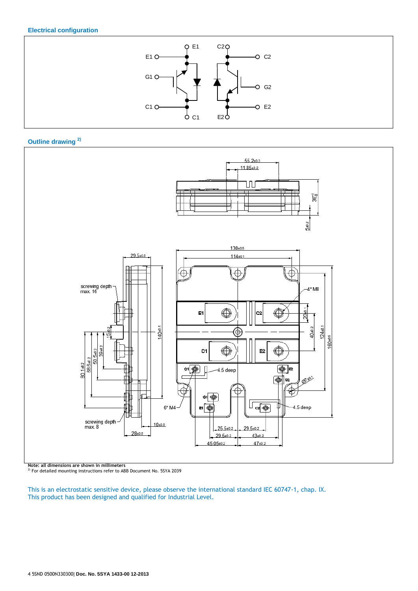#### **Electrical configuration**







**Note: all dimensions are shown in millimeters** 2) For detailed mounting instructions refer to ABB Document No. 5SYA 2039

This is an electrostatic sensitive device, please observe the international standard IEC 60747-1, chap. IX. This product has been designed and qualified for Industrial Level.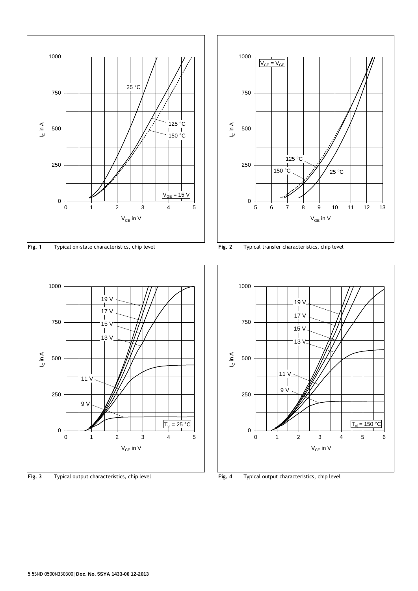

**Fig. 1** Typical on-state characteristics, chip level **Fig. 2** Typical transfer characteristics, chip level



**Fig. 3** Typical output characteristics, chip level **Fig. 4** Typical output characteristics, chip level



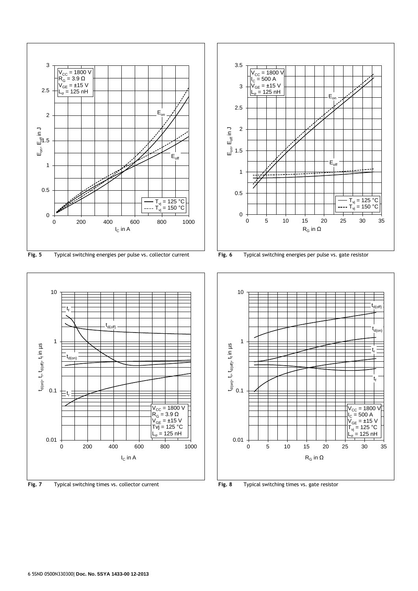

**Fig. 5** Typical switching energies per pulse vs. collector current **Fig. 6** Typical switching energies per pulse vs. gate resistor







**Fig. 7** Typical switching times vs. collector current **Fig. 8** Typical switching times vs. gate resistor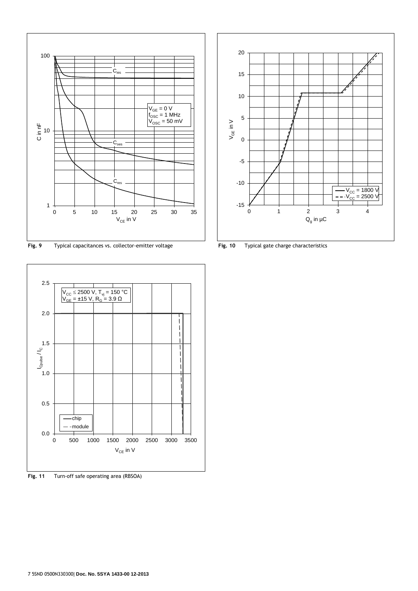

**Fig. 9** Typical capacitances vs. collector-emitter voltage **Fig. 10** Typical gate charge characteristics



**Fig. 11** Turn-off safe operating area (RBSOA)

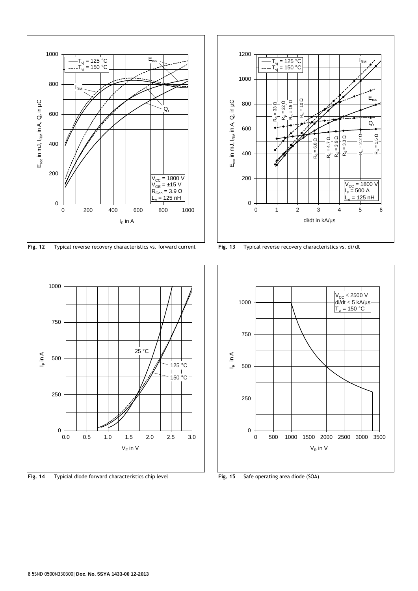

**Fig. 12** Typical reverse recovery characteristics vs. forward current **Fig. 13** Typical reverse recovery characteristics vs. di/dt



**Fig. 14** Typicial diode forward characteristics chip level **Fig. 15** Safe operating area diode (SOA)